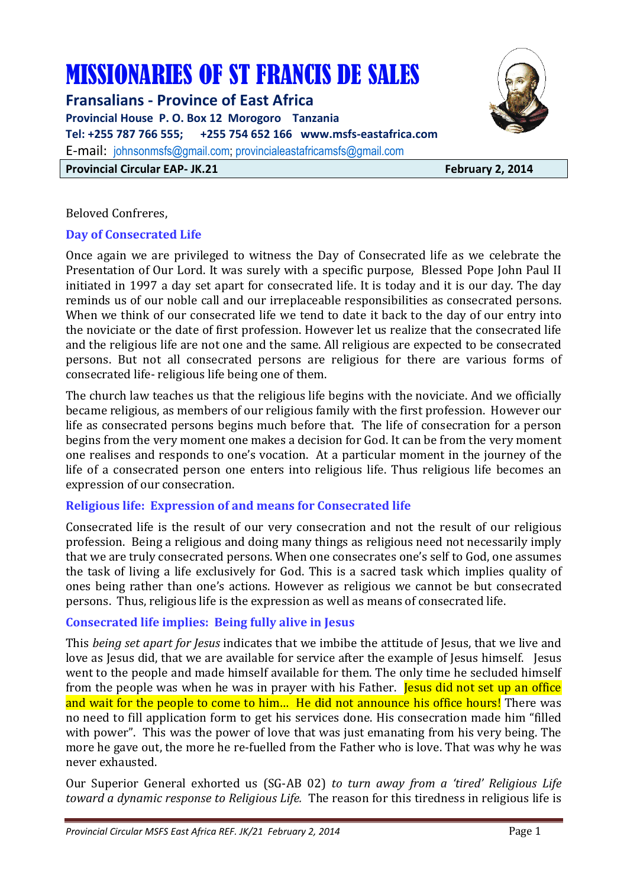# MISSIONARIES OF ST FRANCIS DE SALES

**Fransalians - Province of East Africa Provincial House P. O. Box 12 Morogoro Tanzania Tel: +255 787 766 555; +255 754 652 166 www.msfs-eastafrica.com**  E-mail: johnsonmsfs@gmail.com; provincialeastafricamsfs@gmail.com **Provincial Circular EAP- JK.21 February 2, 2014** 



Beloved Confreres,

## **Day of Consecrated Life**

Once again we are privileged to witness the Day of Consecrated life as we celebrate the Presentation of Our Lord. It was surely with a specific purpose, Blessed Pope John Paul II initiated in 1997 a day set apart for consecrated life. It is today and it is our day. The day reminds us of our noble call and our irreplaceable responsibilities as consecrated persons. When we think of our consecrated life we tend to date it back to the day of our entry into the noviciate or the date of first profession. However let us realize that the consecrated life and the religious life are not one and the same. All religious are expected to be consecrated persons. But not all consecrated persons are religious for there are various forms of consecrated life- religious life being one of them.

The church law teaches us that the religious life begins with the noviciate. And we officially became religious, as members of our religious family with the first profession. However our life as consecrated persons begins much before that. The life of consecration for a person begins from the very moment one makes a decision for God. It can be from the very moment one realises and responds to one's vocation. At a particular moment in the journey of the life of a consecrated person one enters into religious life. Thus religious life becomes an expression of our consecration.

## **Religious life: Expression of and means for Consecrated life**

Consecrated life is the result of our very consecration and not the result of our religious profession. Being a religious and doing many things as religious need not necessarily imply that we are truly consecrated persons. When one consecrates one's self to God, one assumes the task of living a life exclusively for God. This is a sacred task which implies quality of ones being rather than one's actions. However as religious we cannot be but consecrated persons. Thus, religious life is the expression as well as means of consecrated life.

## **Consecrated life implies: Being fully alive in Jesus**

This *being set apart for Jesus* indicates that we imbibe the attitude of Jesus, that we live and love as Jesus did, that we are available for service after the example of Jesus himself. Jesus went to the people and made himself available for them. The only time he secluded himself from the people was when he was in prayer with his Father. **Jesus did not set up an office** and wait for the people to come to him... He did not announce his office hours! There was no need to fill application form to get his services done. His consecration made him "filled with power". This was the power of love that was just emanating from his very being. The more he gave out, the more he re-fuelled from the Father who is love. That was why he was never exhausted.

Our Superior General exhorted us (SG-AB 02) *to turn away from a 'tired' Religious Life toward a dynamic response to Religious Life.*The reason for this tiredness in religious life is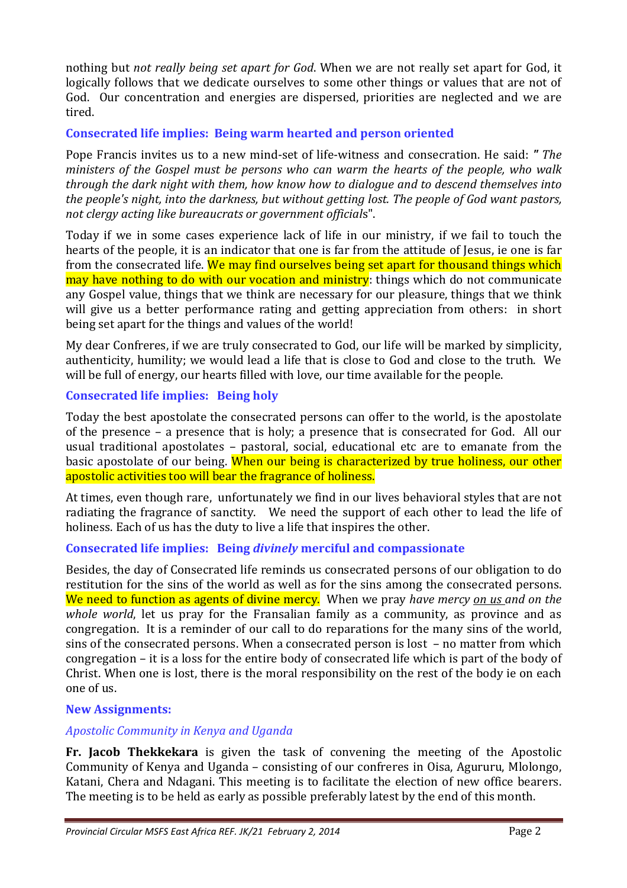nothing but *not really being set apart for God*. When we are not really set apart for God, it logically follows that we dedicate ourselves to some other things or values that are not of God. Our concentration and energies are dispersed, priorities are neglected and we are tired.

## **Consecrated life implies: Being warm hearted and person oriented**

Pope Francis invites us to a new mind-set of life-witness and consecration. He said: *" The ministers of the Gospel must be persons who can warm the hearts of the people, who walk through the dark night with them, how know how to dialogue and to descend themselves into the people's night, into the darkness, but without getting lost. The people of God want pastors, not clergy acting like bureaucrats or government official*s".

Today if we in some cases experience lack of life in our ministry, if we fail to touch the hearts of the people, it is an indicator that one is far from the attitude of Jesus, ie one is far from the consecrated life. We may find ourselves being set apart for thousand things which may have nothing to do with our vocation and ministry: things which do not communicate any Gospel value, things that we think are necessary for our pleasure, things that we think will give us a better performance rating and getting appreciation from others: in short being set apart for the things and values of the world!

My dear Confreres, if we are truly consecrated to God, our life will be marked by simplicity, authenticity, humility; we would lead a life that is close to God and close to the truth. We will be full of energy, our hearts filled with love, our time available for the people.

## **Consecrated life implies: Being holy**

Today the best apostolate the consecrated persons can offer to the world, is the apostolate of the presence – a presence that is holy; a presence that is consecrated for God. All our usual traditional apostolates – pastoral, social, educational etc are to emanate from the basic apostolate of our being. When our being is characterized by true holiness, our other apostolic activities too will bear the fragrance of holiness.

At times, even though rare, unfortunately we find in our lives behavioral styles that are not radiating the fragrance of sanctity. We need the support of each other to lead the life of holiness. Each of us has the duty to live a life that inspires the other.

## **Consecrated life implies: Being** *divinely* **merciful and compassionate**

Besides, the day of Consecrated life reminds us consecrated persons of our obligation to do restitution for the sins of the world as well as for the sins among the consecrated persons. We need to function as agents of divine mercy. When we pray *have mercy on us and on the whole world*, let us pray for the Fransalian family as a community, as province and as congregation. It is a reminder of our call to do reparations for the many sins of the world, sins of the consecrated persons. When a consecrated person is lost – no matter from which congregation – it is a loss for the entire body of consecrated life which is part of the body of Christ. When one is lost, there is the moral responsibility on the rest of the body ie on each one of us.

## **New Assignments:**

## *Apostolic Community in Kenya and Uganda*

**Fr. Jacob Thekkekara** is given the task of convening the meeting of the Apostolic Community of Kenya and Uganda – consisting of our confreres in Oisa, Agururu, Mlolongo, Katani, Chera and Ndagani. This meeting is to facilitate the election of new office bearers. The meeting is to be held as early as possible preferably latest by the end of this month.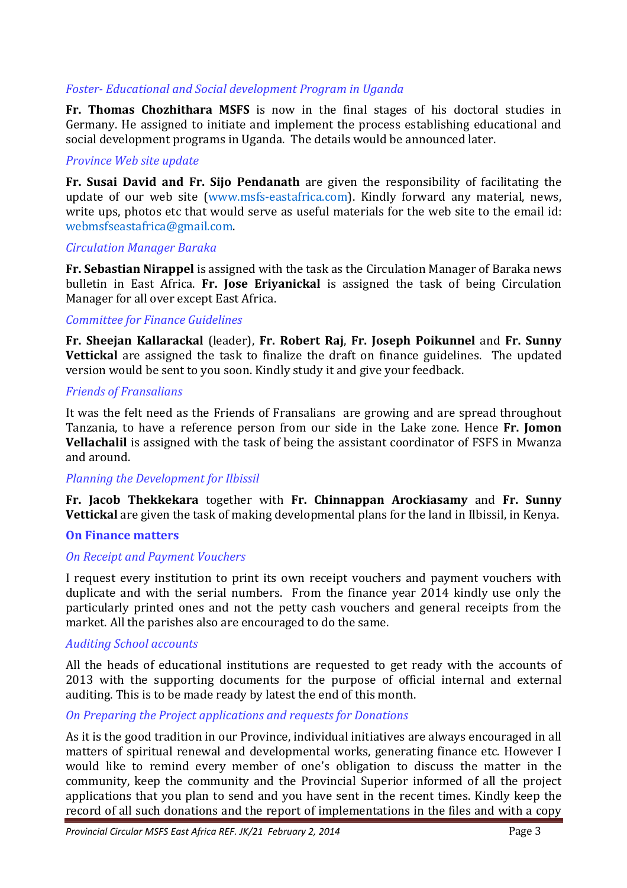## *Foster- Educational and Social development Program in Uganda*

**Fr. Thomas Chozhithara MSFS** is now in the final stages of his doctoral studies in Germany. He assigned to initiate and implement the process establishing educational and social development programs in Uganda. The details would be announced later.

#### *Province Web site update*

**Fr. Susai David and Fr. Sijo Pendanath** are given the responsibility of facilitating the update of our web site (www.msfs-eastafrica.com). Kindly forward any material, news, write ups, photos etc that would serve as useful materials for the web site to the email id: webmsfseastafrica@gmail.com.

#### *Circulation Manager Baraka*

**Fr. Sebastian Nirappel** is assigned with the task as the Circulation Manager of Baraka news bulletin in East Africa. **Fr. Jose Eriyanickal** is assigned the task of being Circulation Manager for all over except East Africa.

#### *Committee for Finance Guidelines*

**Fr. Sheejan Kallarackal** (leader), **Fr. Robert Raj**, **Fr. Joseph Poikunnel** and **Fr. Sunny Vettickal** are assigned the task to finalize the draft on finance guidelines. The updated version would be sent to you soon. Kindly study it and give your feedback.

#### *Friends of Fransalians*

It was the felt need as the Friends of Fransalians are growing and are spread throughout Tanzania, to have a reference person from our side in the Lake zone. Hence **Fr. Jomon Vellachalil** is assigned with the task of being the assistant coordinator of FSFS in Mwanza and around.

#### *Planning the Development for Ilbissil*

**Fr. Jacob Thekkekara** together with **Fr. Chinnappan Arockiasamy** and **Fr. Sunny Vettickal** are given the task of making developmental plans for the land in Ilbissil, in Kenya.

#### **On Finance matters**

#### *On Receipt and Payment Vouchers*

I request every institution to print its own receipt vouchers and payment vouchers with duplicate and with the serial numbers. From the finance year 2014 kindly use only the particularly printed ones and not the petty cash vouchers and general receipts from the market. All the parishes also are encouraged to do the same.

#### *Auditing School accounts*

All the heads of educational institutions are requested to get ready with the accounts of 2013 with the supporting documents for the purpose of official internal and external auditing. This is to be made ready by latest the end of this month.

#### *On Preparing the Project applications and requests for Donations*

As it is the good tradition in our Province, individual initiatives are always encouraged in all matters of spiritual renewal and developmental works, generating finance etc. However I would like to remind every member of one's obligation to discuss the matter in the community, keep the community and the Provincial Superior informed of all the project applications that you plan to send and you have sent in the recent times. Kindly keep the record of all such donations and the report of implementations in the files and with a copy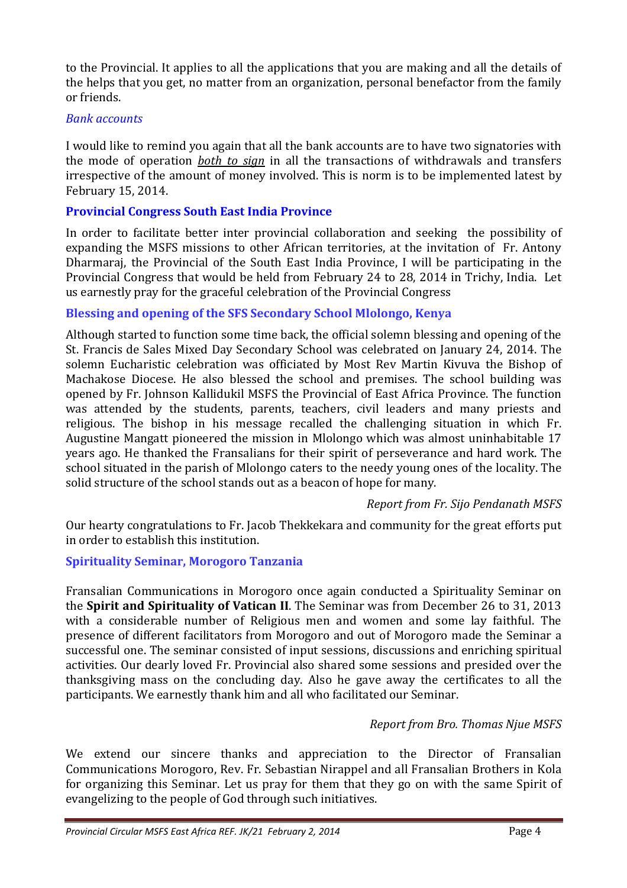to the Provincial. It applies to all the applications that you are making and all the details of the helps that you get, no matter from an organization, personal benefactor from the family or friends.

#### *Bank accounts*

I would like to remind you again that all the bank accounts are to have two signatories with the mode of operation *both to sign* in all the transactions of withdrawals and transfers irrespective of the amount of money involved. This is norm is to be implemented latest by February 15, 2014.

## **Provincial Congress South East India Province**

In order to facilitate better inter provincial collaboration and seeking the possibility of expanding the MSFS missions to other African territories, at the invitation of Fr. Antony Dharmaraj, the Provincial of the South East India Province, I will be participating in the Provincial Congress that would be held from February 24 to 28, 2014 in Trichy, India. Let us earnestly pray for the graceful celebration of the Provincial Congress

## **Blessing and opening of the SFS Secondary School Mlolongo, Kenya**

Although started to function some time back, the official solemn blessing and opening of the St. Francis de Sales Mixed Day Secondary School was celebrated on January 24, 2014. The solemn Eucharistic celebration was officiated by Most Rev Martin Kivuva the Bishop of Machakose Diocese. He also blessed the school and premises. The school building was opened by Fr. Johnson Kallidukil MSFS the Provincial of East Africa Province. The function was attended by the students, parents, teachers, civil leaders and many priests and religious. The bishop in his message recalled the challenging situation in which Fr. Augustine Mangatt pioneered the mission in Mlolongo which was almost uninhabitable 17 years ago. He thanked the Fransalians for their spirit of perseverance and hard work. The school situated in the parish of Mlolongo caters to the needy young ones of the locality. The solid structure of the school stands out as a beacon of hope for many.

## *Report from Fr. Sijo Pendanath MSFS*

Our hearty congratulations to Fr. Jacob Thekkekara and community for the great efforts put in order to establish this institution.

## **Spirituality Seminar, Morogoro Tanzania**

Fransalian Communications in Morogoro once again conducted a Spirituality Seminar on the **Spirit and Spirituality of Vatican II**. The Seminar was from December 26 to 31, 2013 with a considerable number of Religious men and women and some lay faithful. The presence of different facilitators from Morogoro and out of Morogoro made the Seminar a successful one. The seminar consisted of input sessions, discussions and enriching spiritual activities. Our dearly loved Fr. Provincial also shared some sessions and presided over the thanksgiving mass on the concluding day. Also he gave away the certificates to all the participants. We earnestly thank him and all who facilitated our Seminar.

## *Report from Bro. Thomas Njue MSFS*

We extend our sincere thanks and appreciation to the Director of Fransalian Communications Morogoro, Rev. Fr. Sebastian Nirappel and all Fransalian Brothers in Kola for organizing this Seminar. Let us pray for them that they go on with the same Spirit of evangelizing to the people of God through such initiatives.